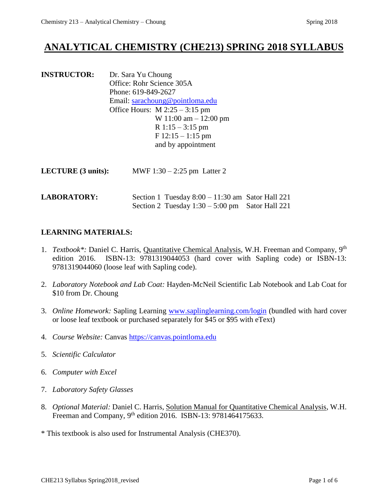# **ANALYTICAL CHEMISTRY (CHE213) SPRING 2018 SYLLABUS**

| Dr. Sara Yu Choung               |
|----------------------------------|
| Office: Rohr Science 305A        |
| Phone: 619-849-2627              |
| Email: sarachoung@pointloma.edu  |
| Office Hours: $M$ 2:25 – 3:15 pm |
| W 11:00 am $-$ 12:00 pm          |
| $R$ 1:15 – 3:15 pm               |
| $F$ 12:15 - 1:15 pm              |
| and by appointment               |
|                                  |
|                                  |

| <b>LECTURE</b> (3 units): | MWF $1:30 - 2:25$ pm Latter 2                                                                           |  |  |
|---------------------------|---------------------------------------------------------------------------------------------------------|--|--|
| <b>LABORATORY:</b>        | Section 1 Tuesday $8:00 - 11:30$ am Sator Hall 221<br>Section 2 Tuesday $1:30 - 5:00$ pm Sator Hall 221 |  |  |

# **LEARNING MATERIALS:**

- 1. *Textbook\**: Daniel C. Harris, Quantitative Chemical Analysis, W.H. Freeman and Company, 9<sup>th</sup> edition 2016. ISBN-13: 9781319044053 (hard cover with Sapling code) or ISBN-13: 9781319044060 (loose leaf with Sapling code).
- 2. *Laboratory Notebook and Lab Coat:* Hayden-McNeil Scientific Lab Notebook and Lab Coat for \$10 from Dr. Choung
- 3. *Online Homework:* Sapling Learning [www.saplinglearning.com/login](http://www.saplinglearning.com/login) (bundled with hard cover or loose leaf textbook or purchased separately for \$45 or \$95 with eText)
- 4. *Course Website:* Canvas [https://canvas.pointloma.edu](https://canvas.pointloma.edu/)
- 5. *Scientific Calculator*
- 6. *Computer with Excel*
- 7. *Laboratory Safety Glasses*
- 8. *Optional Material:* Daniel C. Harris, Solution Manual for Quantitative Chemical Analysis, W.H. Freeman and Company, 9<sup>th</sup> edition 2016. ISBN-13: 9781464175633.
- \* This textbook is also used for Instrumental Analysis (CHE370).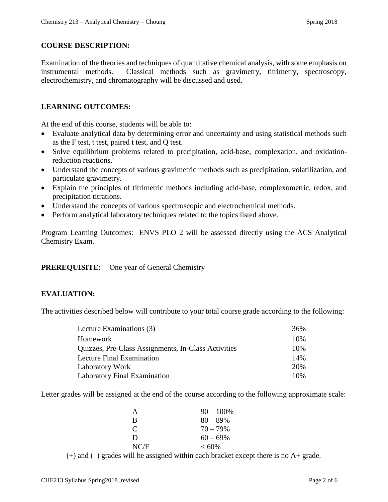# **COURSE DESCRIPTION:**

Examination of the theories and techniques of quantitative chemical analysis, with some emphasis on instrumental methods. Classical methods such as gravimetry, titrimetry, spectroscopy, electrochemistry, and chromatography will be discussed and used.

## **LEARNING OUTCOMES:**

At the end of this course, students will be able to:

- Evaluate analytical data by determining error and uncertainty and using statistical methods such as the F test, t test, paired t test, and Q test.
- Solve equilibrium problems related to precipitation, acid-base, complexation, and oxidationreduction reactions.
- Understand the concepts of various gravimetric methods such as precipitation, volatilization, and particulate gravimetry.
- Explain the principles of titrimetric methods including acid-base, complexometric, redox, and precipitation titrations.
- Understand the concepts of various spectroscopic and electrochemical methods.
- Perform analytical laboratory techniques related to the topics listed above.

Program Learning Outcomes: ENVS PLO 2 will be assessed directly using the ACS Analytical Chemistry Exam.

#### **PREREQUISITE:** One year of General Chemistry

# **EVALUATION:**

The activities described below will contribute to your total course grade according to the following:

| 36% |
|-----|
| 10% |
| 10% |
| 14% |
| 20% |
| 10% |
|     |

Letter grades will be assigned at the end of the course according to the following approximate scale:

| А    |  | $90 - 100\%$ |
|------|--|--------------|
| B    |  | $80 - 89%$   |
| C    |  | $70 - 79\%$  |
| D    |  | $60 - 69\%$  |
| NC/F |  | $< 60\%$     |
|      |  |              |

 $(+)$  and  $(-)$  grades will be assigned within each bracket except there is no A+ grade.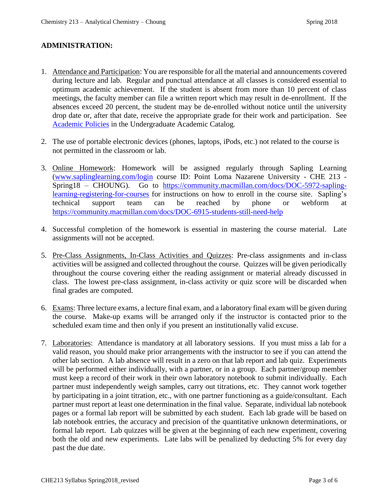# **ADMINISTRATION:**

- 1. Attendance and Participation: You are responsible for all the material and announcements covered during lecture and lab. Regular and punctual attendance at all classes is considered essential to optimum academic achievement. If the student is absent from more than 10 percent of class meetings, the faculty member can file a written report which may result in de-enrollment. If the absences exceed 20 percent, the student may be de-enrolled without notice until the university drop date or, after that date, receive the appropriate grade for their work and participation. See [Academic Policies](http://catalog.pointloma.edu/content.php?catoid=18&navoid=1278) in the Undergraduate Academic Catalog.
- 2. The use of portable electronic devices (phones, laptops, iPods, etc.) not related to the course is not permitted in the classroom or lab.
- 3. Online Homework: Homework will be assigned regularly through Sapling Learning [\(www.saplinglearning.com/login](http://www.saplinglearning.com/login) course ID: Point Loma Nazarene University - CHE 213 - Spring18 – CHOUNG). Go to [https://community.macmillan.com/docs/DOC-5972-sapling](https://community.macmillan.com/docs/DOC-5972-sapling-learning-registering-for-courses)[learning-registering-for-courses](https://community.macmillan.com/docs/DOC-5972-sapling-learning-registering-for-courses) for instructions on how to enroll in the course site. Sapling's technical support team can be reached by phone or webform at <https://community.macmillan.com/docs/DOC-6915-students-still-need-help>
- 4. Successful completion of the homework is essential in mastering the course material. Late assignments will not be accepted.
- 5. Pre-Class Assignments, In-Class Activities and Quizzes: Pre-class assignments and in-class activities will be assigned and collected throughout the course. Quizzes will be given periodically throughout the course covering either the reading assignment or material already discussed in class. The lowest pre-class assignment, in-class activity or quiz score will be discarded when final grades are computed.
- 6. Exams: Three lecture exams, a lecture final exam, and a laboratory final exam will be given during the course. Make-up exams will be arranged only if the instructor is contacted prior to the scheduled exam time and then only if you present an institutionally valid excuse.
- 7. Laboratories: Attendance is mandatory at all laboratory sessions. If you must miss a lab for a valid reason, you should make prior arrangements with the instructor to see if you can attend the other lab section. A lab absence will result in a zero on that lab report and lab quiz. Experiments will be performed either individually, with a partner, or in a group. Each partner/group member must keep a record of their work in their own laboratory notebook to submit individually. Each partner must independently weigh samples, carry out titrations, etc. They cannot work together by participating in a joint titration, etc., with one partner functioning as a guide/consultant. Each partner must report at least one determination in the final value. Separate, individual lab notebook pages or a formal lab report will be submitted by each student. Each lab grade will be based on lab notebook entries, the accuracy and precision of the quantitative unknown determinations, or formal lab report. Lab quizzes will be given at the beginning of each new experiment, covering both the old and new experiments. Late labs will be penalized by deducting 5% for every day past the due date.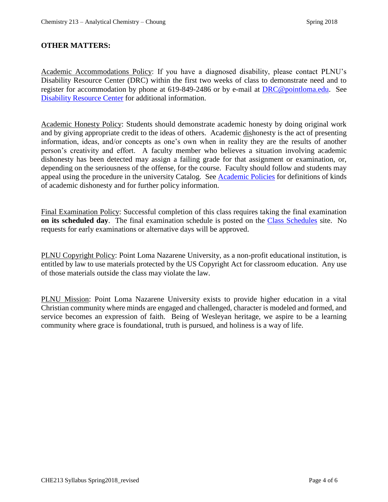# **OTHER MATTERS:**

Academic Accommodations Policy: If you have a diagnosed disability, please contact PLNU's Disability Resource Center (DRC) within the first two weeks of class to demonstrate need and to register for accommodation by phone at 619-849-2486 or by e-mail at **DRC@pointloma.edu.** See [Disability Resource Center](http://www.pointloma.edu/experience/offices/administrative-offices/academic-advising-office/disability-resource-center) for additional information.

Academic Honesty Policy: Students should demonstrate academic honesty by doing original work and by giving appropriate credit to the ideas of others. Academic dishonesty is the act of presenting information, ideas, and/or concepts as one's own when in reality they are the results of another person's creativity and effort. A faculty member who believes a situation involving academic dishonesty has been detected may assign a failing grade for that assignment or examination, or, depending on the seriousness of the offense, for the course. Faculty should follow and students may appeal using the procedure in the university Catalog. See [Academic Policies](http://catalog.pointloma.edu/content.php?catoid=18&navoid=1278) for definitions of kinds of academic dishonesty and for further policy information.

Final Examination Policy: Successful completion of this class requires taking the final examination **on its scheduled day**. The final examination schedule is posted on the [Class Schedules](http://www.pointloma.edu/experience/academics/class-schedules) site. No requests for early examinations or alternative days will be approved.

PLNU Copyright Policy: Point Loma Nazarene University, as a non-profit educational institution, is entitled by law to use materials protected by the US Copyright Act for classroom education. Any use of those materials outside the class may violate the law.

PLNU Mission: Point Loma Nazarene University exists to provide higher education in a vital Christian community where minds are engaged and challenged, character is modeled and formed, and service becomes an expression of faith. Being of Wesleyan heritage, we aspire to be a learning community where grace is foundational, truth is pursued, and holiness is a way of life.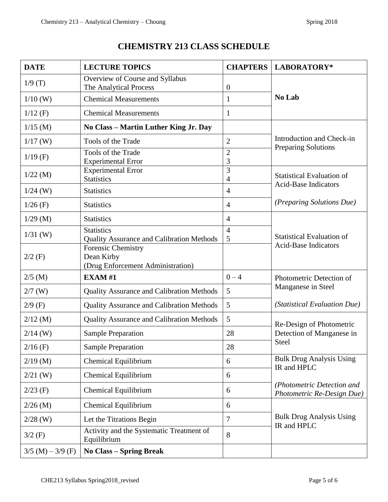| <b>DATE</b>          | <b>LECTURE TOPICS</b>                                                 | <b>CHAPTERS</b>     | LABORATORY*                                                     |  |
|----------------------|-----------------------------------------------------------------------|---------------------|-----------------------------------------------------------------|--|
| 1/9(T)               | Overview of Course and Syllabus<br>The Analytical Process             | $\overline{0}$      |                                                                 |  |
| $1/10$ (W)           | <b>Chemical Measurements</b>                                          | 1                   | No Lab                                                          |  |
| $1/12$ (F)           | <b>Chemical Measurements</b>                                          | 1                   |                                                                 |  |
| $1/15$ (M)           | No Class - Martin Luther King Jr. Day                                 |                     |                                                                 |  |
| $1/17$ (W)           | Tools of the Trade                                                    | $\overline{2}$      | Introduction and Check-in                                       |  |
| $1/19$ (F)           | Tools of the Trade<br><b>Experimental Error</b>                       | $\overline{2}$<br>3 | <b>Preparing Solutions</b>                                      |  |
| $1/22$ (M)           | <b>Experimental Error</b><br><b>Statistics</b>                        | 3<br>4              | <b>Statistical Evaluation of</b>                                |  |
| $1/24$ (W)           | <b>Statistics</b>                                                     | $\overline{4}$      | <b>Acid-Base Indicators</b>                                     |  |
| $1/26$ (F)           | <b>Statistics</b>                                                     | $\overline{4}$      | <i>(Preparing Solutions Due)</i>                                |  |
| $1/29$ (M)           | <b>Statistics</b>                                                     | $\overline{4}$      |                                                                 |  |
| $1/31$ (W)           | <b>Statistics</b><br><b>Quality Assurance and Calibration Methods</b> | $\overline{4}$<br>5 | <b>Statistical Evaluation of</b><br><b>Acid-Base Indicators</b> |  |
| $2/2$ (F)            | Forensic Chemistry<br>Dean Kirby<br>(Drug Enforcement Administration) |                     |                                                                 |  |
| $2/5$ (M)            | EXAM#1                                                                | $0 - 4$             | Photometric Detection of                                        |  |
| $2/7$ (W)            | Quality Assurance and Calibration Methods                             | 5                   | Manganese in Steel                                              |  |
| $2/9$ (F)            | <b>Quality Assurance and Calibration Methods</b>                      | 5                   | (Statistical Evaluation Due)                                    |  |
| $2/12$ (M)           | <b>Quality Assurance and Calibration Methods</b>                      | 5                   | Re-Design of Photometric                                        |  |
| $2/14$ (W)           | <b>Sample Preparation</b>                                             | 28                  | Detection of Manganese in<br>Steel                              |  |
| $2/16$ (F)           | <b>Sample Preparation</b>                                             | 28                  |                                                                 |  |
| $2/19$ (M)           | Chemical Equilibrium                                                  | 6                   | <b>Bulk Drug Analysis Using</b>                                 |  |
| $2/21$ (W)           | Chemical Equilibrium                                                  | 6                   | IR and HPLC                                                     |  |
| $2/23$ (F)           | Chemical Equilibrium                                                  | 6                   | (Photometric Detection and<br>Photometric Re-Design Due)        |  |
| $2/26$ (M)           | Chemical Equilibrium                                                  | 6                   |                                                                 |  |
| $2/28$ (W)           | Let the Titrations Begin                                              | 7                   | <b>Bulk Drug Analysis Using</b><br>IR and HPLC                  |  |
| $3/2$ (F)            | Activity and the Systematic Treatment of<br>Equilibrium               | 8                   |                                                                 |  |
| $3/5$ (M) $-3/9$ (F) | <b>No Class - Spring Break</b>                                        |                     |                                                                 |  |

# **CHEMISTRY 213 CLASS SCHEDULE**